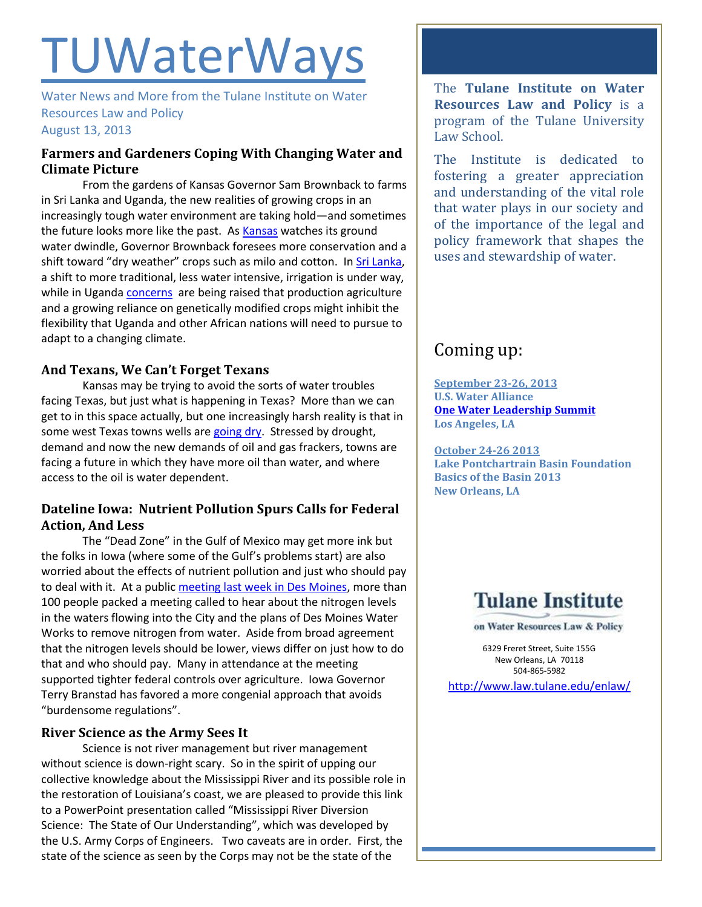# **TUWaterWays**

Water News and More from the Tulane Institute on Water Resources Law and Policy August 13, 2013

## **Farmers and Gardeners Coping With Changing Water and Climate Picture**

From the gardens of Kansas Governor Sam Brownback to farms in Sri Lanka and Uganda, the new realities of growing crops in an increasingly tough water environment are taking hold—and sometimes the future looks more like the past. A[s Kansas](http://cjonline.com/news/2013-08-09/governors-garden-bounty-belies-underlying-water-woes) watches its ground water dwindle, Governor Brownback foresees more conservation and a shift toward "dry weather" crops such as milo and cotton. I[n Sri Lanka,](http://www.ipsnews.net/2013/08/ancient-kings-fight-climate-change/) a shift to more traditional, less water intensive, irrigation is under way, while in Uganda [concerns](http://allafrica.com/stories/201308090538.html?viewall=1) are being raised that production agriculture and a growing reliance on genetically modified crops might inhibit the flexibility that Uganda and other African nations will need to pursue to adapt to a changing climate.

## **And Texans, We Can't Forget Texans**

Kansas may be trying to avoid the sorts of water troubles facing Texas, but just what is happening in Texas? More than we can get to in this space actually, but one increasingly harsh reality is that in some west Texas towns wells ar[e going dry.](http://www.theguardian.com/environment/2013/aug/11/texas-tragedy-ample-oil-no-water) Stressed by drought, demand and now the new demands of oil and gas frackers, towns are facing a future in which they have more oil than water, and where access to the oil is water dependent.

## **Dateline Iowa: Nutrient Pollution Spurs Calls for Federal Action, And Less**

The "Dead Zone" in the Gulf of Mexico may get more ink but the folks in Iowa (where some of the Gulf's problems start) are also worried about the effects of nutrient pollution and just who should pay to deal with it. At a publi[c meeting last week in Des Moines,](http://www.desmoinesregister.com/article/20130807/NEWS/308070037/Crowd-favors-lawsuit-regulate-runoff?nclick_check=1) more than 100 people packed a meeting called to hear about the nitrogen levels in the waters flowing into the City and the plans of Des Moines Water Works to remove nitrogen from water. Aside from broad agreement that the nitrogen levels should be lower, views differ on just how to do that and who should pay. Many in attendance at the meeting supported tighter federal controls over agriculture. Iowa Governor Terry Branstad has favored a more congenial approach that avoids "burdensome regulations".

## **River Science as the Army Sees It**

Science is not river management but river management without science is down-right scary. So in the spirit of upping our collective knowledge about the Mississippi River and its possible role in the restoration of Louisiana's coast, we are pleased to provide this link to a PowerPoint presentation called "Mississippi River Diversion Science: The State of Our Understanding", which was developed by the U.S. Army Corps of Engineers. Two caveats are in order. First, the state of the science as seen by the Corps may not be the state of the

The **Tulane Institute on Water Resources Law and Policy** is a program of the Tulane University Law School.

The Institute is dedicated to fostering a greater appreciation and understanding of the vital role that water plays in our society and of the importance of the legal and policy framework that shapes the uses and stewardship of water.

## Coming up:

**September 23-26, 2013 U.S. Water Alliance [One Water Leadership Summit](http://www.uswateralliance.org/event/urban-water-leadership-summit/) Los Angeles, LA**

**October 24-26 2013 Lake Pontchartrain Basin Foundation Basics of the Basin 2013 New Orleans, LA** 

## **Tulane Institute**

on Water Resources Law & Policy

6329 Freret Street, Suite 155G New Orleans, LA 70118 504-865-5982 <http://www.law.tulane.edu/enlaw/>